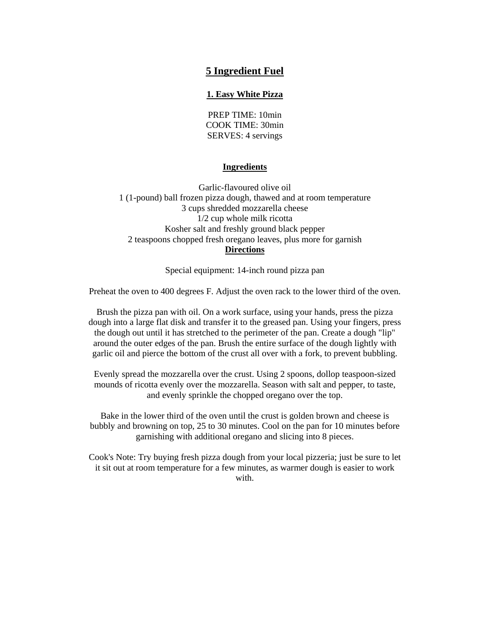# **5 Ingredient Fuel**

# **1. Easy White Pizza**

PREP TIME: 10min COOK TIME: 30min SERVES: 4 servings

## **Ingredients**

Garlic-flavoured olive oil 1 (1-pound) ball frozen pizza dough, thawed and at room temperature 3 cups shredded mozzarella cheese 1/2 cup whole milk ricotta Kosher salt and freshly ground black pepper 2 teaspoons chopped fresh oregano leaves, plus more for garnish **Directions**

Special equipment: 14-inch round pizza pan

Preheat the oven to 400 degrees F. Adjust the oven rack to the lower third of the oven.

Brush the pizza pan with oil. On a work surface, using your hands, press the pizza dough into a large flat disk and transfer it to the greased pan. Using your fingers, press the dough out until it has stretched to the perimeter of the pan. Create a dough "lip" around the outer edges of the pan. Brush the entire surface of the dough lightly with garlic oil and pierce the bottom of the crust all over with a fork, to prevent bubbling.

Evenly spread the mozzarella over the crust. Using 2 spoons, dollop teaspoon-sized mounds of ricotta evenly over the mozzarella. Season with salt and pepper, to taste, and evenly sprinkle the chopped oregano over the top.

Bake in the lower third of the oven until the crust is golden brown and cheese is bubbly and browning on top, 25 to 30 minutes. Cool on the pan for 10 minutes before garnishing with additional oregano and slicing into 8 pieces.

Cook's Note: Try buying fresh pizza dough from your local pizzeria; just be sure to let it sit out at room temperature for a few minutes, as warmer dough is easier to work with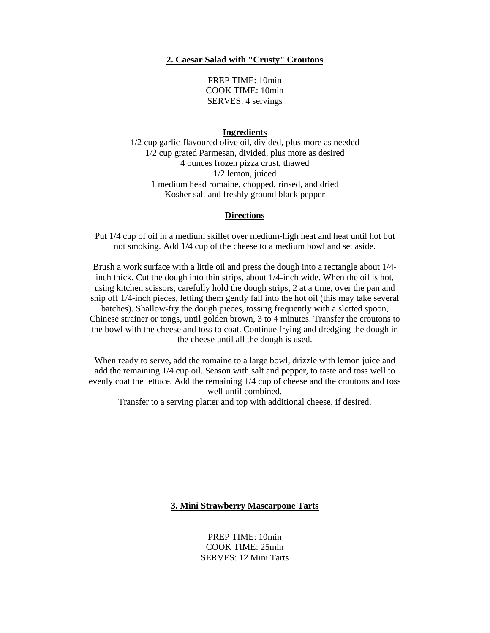# **2. Caesar Salad with "Crusty" Croutons**

PREP TIME: 10min COOK TIME: 10min SERVES: 4 servings

#### **Ingredients**

1/2 cup garlic-flavoured olive oil, divided, plus more as needed 1/2 cup grated Parmesan, divided, plus more as desired 4 ounces frozen pizza crust, thawed 1/2 lemon, juiced 1 medium head romaine, chopped, rinsed, and dried Kosher salt and freshly ground black pepper

### **Directions**

Put 1/4 cup of oil in a medium skillet over medium-high heat and heat until hot but not smoking. Add 1/4 cup of the cheese to a medium bowl and set aside.

Brush a work surface with a little oil and press the dough into a rectangle about 1/4 inch thick. Cut the dough into thin strips, about 1/4-inch wide. When the oil is hot, using kitchen scissors, carefully hold the dough strips, 2 at a time, over the pan and snip off 1/4-inch pieces, letting them gently fall into the hot oil (this may take several batches). Shallow-fry the dough pieces, tossing frequently with a slotted spoon, Chinese strainer or tongs, until golden brown, 3 to 4 minutes. Transfer the croutons to the bowl with the cheese and toss to coat. Continue frying and dredging the dough in the cheese until all the dough is used.

When ready to serve, add the romaine to a large bowl, drizzle with lemon juice and add the remaining 1/4 cup oil. Season with salt and pepper, to taste and toss well to evenly coat the lettuce. Add the remaining 1/4 cup of cheese and the croutons and toss well until combined.

Transfer to a serving platter and top with additional cheese, if desired.

# **3. Mini Strawberry Mascarpone Tarts**

PREP TIME: 10min COOK TIME: 25min SERVES: 12 Mini Tarts